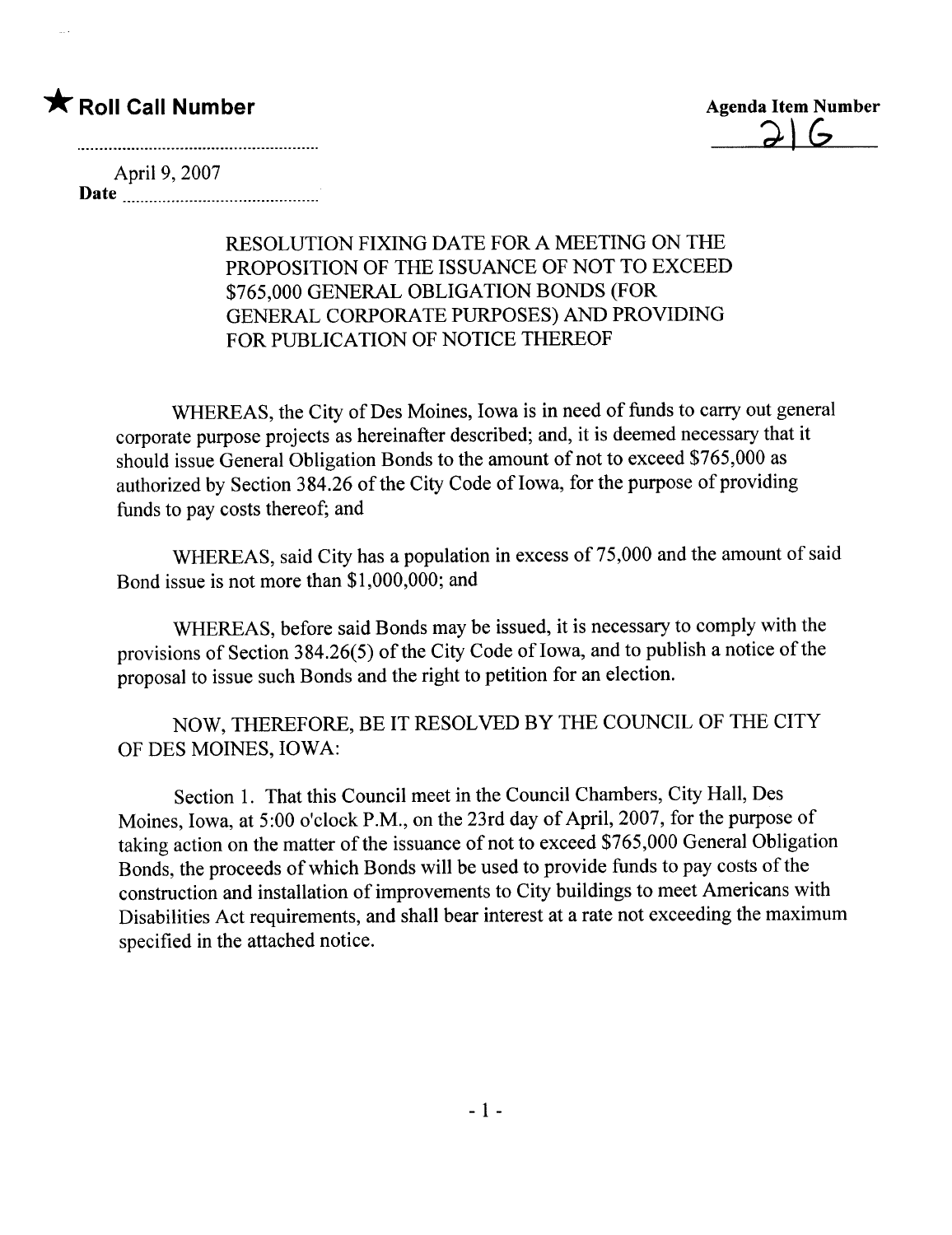## \* Roll Call Number Agenda Item Number

 $\frac{2}{6}$ 

April 9, 2007 Date

## RESOLUTION FIXING DATE FOR A MEETING ON THE PROPOSITION OF THE ISSUANCE OF NOT TO EXCEED \$765,000 GENERAL OBLIGATION BONDS (FOR GENERAL CORPORATE PURPOSES) AND PROVIDING FOR PUBLICATION OF NOTICE THEREOF

WHEREAS, the City of Des Moines, Iowa is in need of funds to carry out general corporate purpose projects as hereinafter described; and, it is deemed necessary that it should issue General Obligation Bonds to the amount of not to exceed \$765,000 as authorized by Section 384.26 of the City Code of Iowa, for the purpose of providing funds to pay costs thereof; and

WHEREAS, said City has a population in excess of 75,000 and the amount of said Bond issue is not more than \$1,000,000; and

WHEREAS, before said Bonds may be issued, it is necessary to comply with the provisions of Section 384.26(5) of the City Code of Iowa, and to publish a notice of the proposal to issue such Bonds and the right to petition for an election.

NOW, THEREFORE, BE IT RESOLVED BY THE COUNCIL OF THE CITY OF DES MOINES, IOWA:

Section 1. That this Council meet in the Council Chambers, City Hall, Des Moines, Iowa, at 5:00 o'clock P.M., on the 23rd day of April, 2007, for the purpose of taking action on the matter of the issuance of not to exceed \$765,000 General Obligation Bonds, the proceeds of which Bonds wil be used to provide funds to pay costs of the construction and installation of improvements to City buildings to meet Americans with Disabilties Act requirements, and shall bear interest at a rate not exceeding the maximum specified in the attached notice.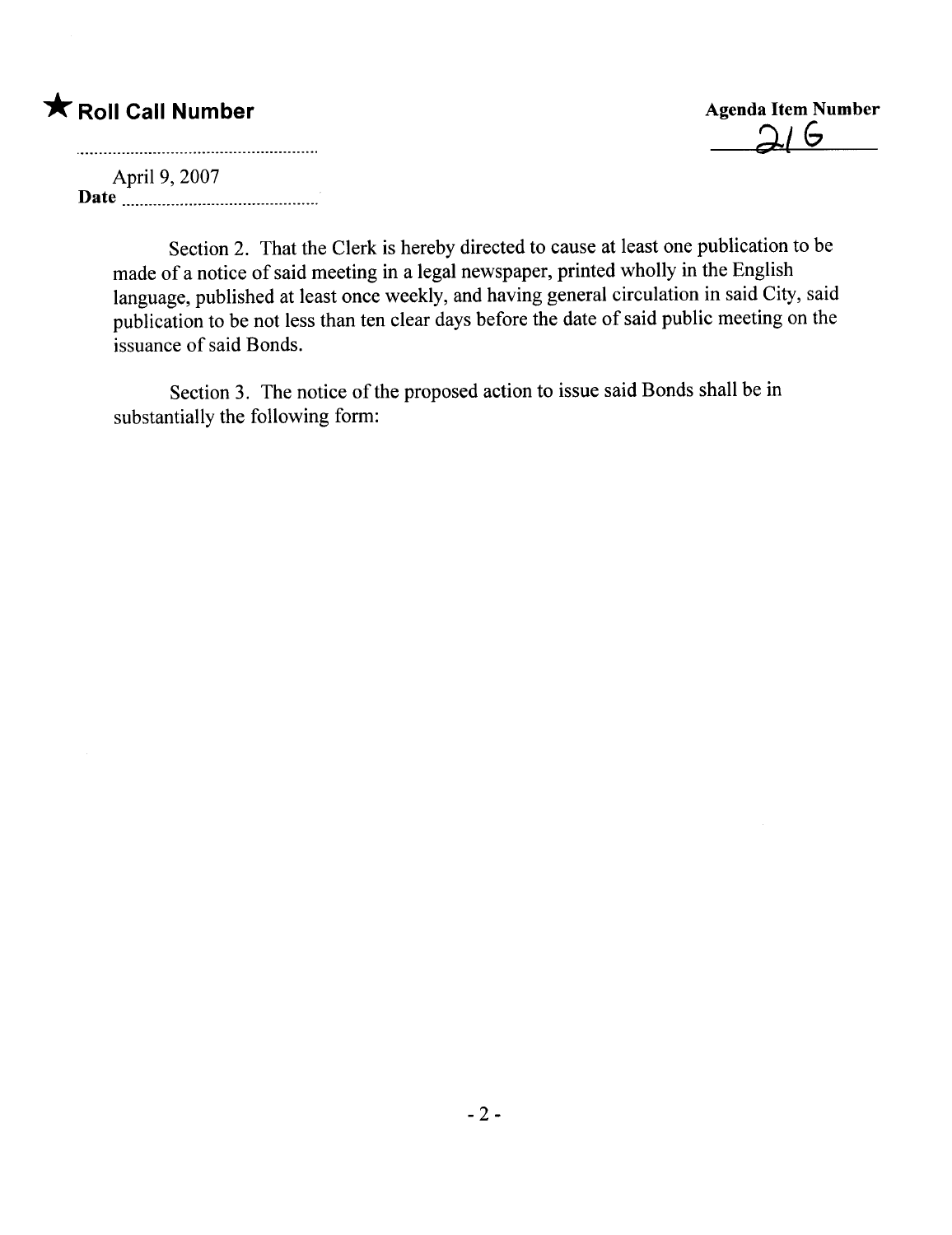## \* Roll Call Number Agenda Item Number

 $\epsilon$ 

April 9, 2007 Date

> Section 2. That the Clerk is hereby directed to cause at least one publication to be made of a notice of said meeting in a legal newspaper, printed wholly in the English language, published at least once weekly, and having general circulation in said City, said publication to be not less than ten clear days before the date of said public meeting on the issuance of said Bonds.

Section 3. The notice of the proposed action to issue said Bonds shall be in substantially the following form: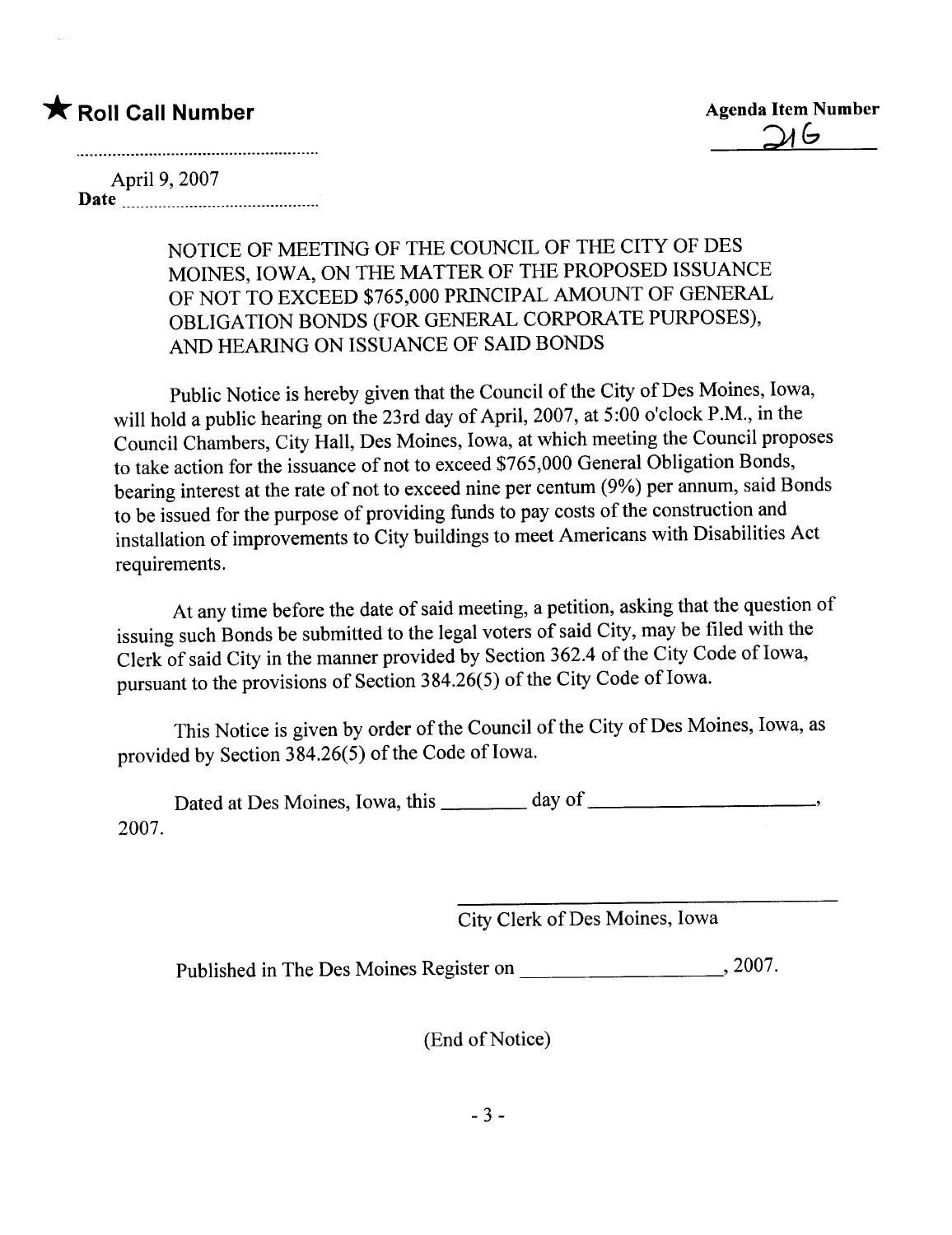

April 9, 2007 Date <u>Manuel Barant (1989)</u>

> NOTICE OF MEETING OF THE COUNCIL OF THE CITY OF DES MOINES, IOWA, ON THE MATTER OF THE PROPOSED ISSUANCE OF NOT TO EXCEED \$765,000 PRINCIPAL AMOUNT OF GENERAL OBLIGATION BONDS (FOR GENERAL CORPORATE PURPOSES), AND HEARNG ON ISSUANCE OF SAID BONDS

Public Notice is hereby given that the Council of the City of Des Moines, Iowa, will hold a public hearing on the 23rd day of April, 2007, at 5:00 o'clock P.M., in the Council Chambers, City Hall, Des Moines, Iowa, at which meeting the Council proposes to take action for the issuance of not to exceed \$765,000 General Obligation Bonds, bearing interest at the rate of not to exceed nine per centum (9%) per annum, said Bonds to be issued for the purpose of providing funds to pay costs of the construction and installation of improvements to City buildings to meet Americans with Disabilties Act requirements.

At any time before the date of said meeting, a petition, asking that the question of issuing such Bonds be submitted to the legal voters of said City, may be filed with the Clerk of said City in the manner provided by Section 362.4 of the City Code of Iowa, pursuant to the provisions of Section 384.26(5) of the City Code of Iowa.

This Notice is given by order of the Council of the City of Des Moines, Iowa, as provided by Section 384.26(5) of the Code of Iowa.

Dated at Des Moines, Iowa, this day of 2007.

City Clerk of Des Moines, Iowa

Published in The Des Moines Register on  $\frac{1}{2007}$ ,

(End of Notice)